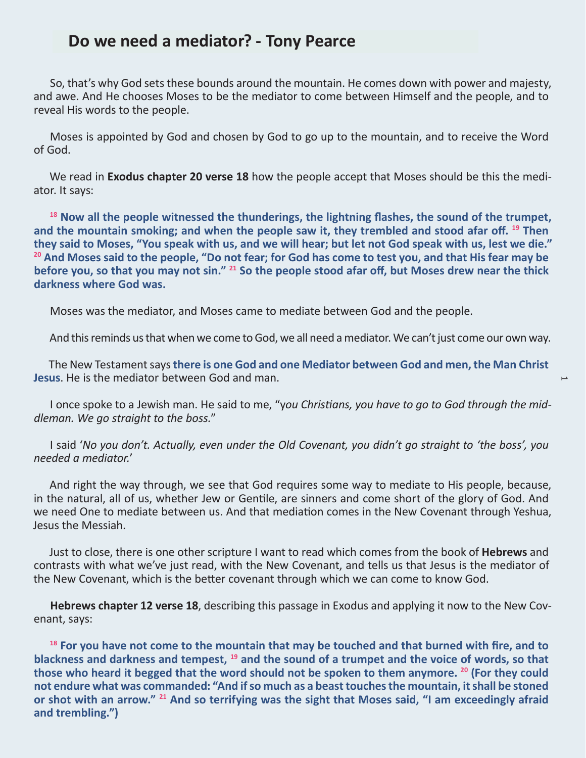## **Do we need a mediator? - Tony Pearce**

So, that's why God sets these bounds around the mountain. He comes down with power and majesty, and awe. And He chooses Moses to be the mediator to come between Himself and the people, and to reveal His words to the people.

Moses is appointed by God and chosen by God to go up to the mountain, and to receive the Word of God.

We read in **Exodus chapter 20 verse 18** how the people accept that Moses should be this the mediator. It says:

**<sup>18</sup> Now all the people witnessed the thunderings, the lightning flashes, the sound of the trumpet, and the mountain smoking; and when the people saw it, they trembled and stood afar off. 19 Then they said to Moses, "You speak with us, and we will hear; but let not God speak with us, lest we die." <sup>20</sup> And Moses said to the people, "Do not fear; for God has come to test you, and that His fear may be before you, so that you may not sin." <sup>21</sup> So the people stood afar off, but Moses drew near the thick darkness where God was.**

Moses was the mediator, and Moses came to mediate between God and the people.

And this reminds us that when we come to God, we all need a mediator. We can't just come our own way.

 $\overline{\phantom{0}}$ 

The New Testament says **there is one God and one Mediator between God and men, the Man Christ Jesus**. He is the mediator between God and man.

I once spoke to a Jewish man. He said to me, "y*ou Christians, you have to go to God through the middleman. We go straight to the boss.*"

I said '*No you don't. Actually, even under the Old Covenant, you didn't go straight to 'the boss', you needed a mediator.*'

And right the way through, we see that God requires some way to mediate to His people, because, in the natural, all of us, whether Jew or Gentile, are sinners and come short of the glory of God. And we need One to mediate between us. And that mediation comes in the New Covenant through Yeshua, Jesus the Messiah.

Just to close, there is one other scripture I want to read which comes from the book of **Hebrews** and contrasts with what we've just read, with the New Covenant, and tells us that Jesus is the mediator of the New Covenant, which is the better covenant through which we can come to know God.

**Hebrews chapter 12 verse 18**, describing this passage in Exodus and applying it now to the New Covenant, says:

**<sup>18</sup> For you have not come to the mountain that may be touched and that burned with fire, and to blackness and darkness and tempest, <sup>19</sup> and the sound of a trumpet and the voice of words, so that those who heard it begged that the word should not be spoken to them anymore. <sup>20</sup> (For they could not endure what was commanded: "And if so much as a beast touches the mountain, it shall be stoned or shot with an arrow." <sup>21</sup> And so terrifying was the sight that Moses said, "I am exceedingly afraid and trembling.")**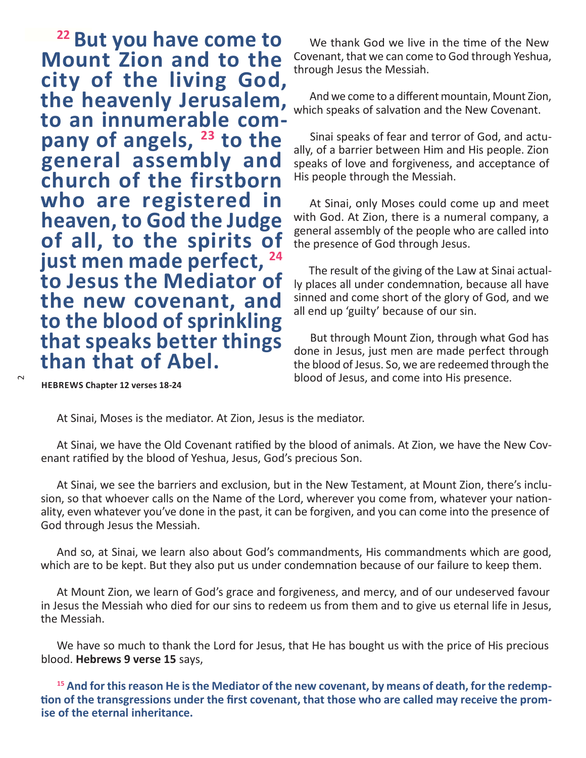**22 But you have come to** We thank God we live in the time of the New **Mount Zion and to the city of the living God, the heavenly Jerusalem, pany of angels, <sup>23</sup> to the general assembly and church of the firstborn who are registered in heaven, to God the Judge of all, to the spirits of just men made perfect, <sup>24</sup> to Jesus the Mediator of the new covenant, and to the blood of sprinkling that speaks better things than that of Abel.**

Covenant, that we can come to God through Yeshua, through Jesus the Messiah.

And we come to a different mountain, Mount Zion, which speaks of salvation and the New Covenant.

Sinai speaks of fear and terror of God, and actually, of a barrier between Him and His people. Zion speaks of love and forgiveness, and acceptance of His people through the Messiah.

At Sinai, only Moses could come up and meet with God. At Zion, there is a numeral company, a general assembly of the people who are called into the presence of God through Jesus.

The result of the giving of the Law at Sinai actually places all under condemnation, because all have sinned and come short of the glory of God, and we all end up 'guilty' because of our sin.

But through Mount Zion, through what God has done in Jesus, just men are made perfect through the blood of Jesus. So, we are redeemed through the blood of Jesus, and come into His presence.

**HEBREWS Chapter 12 verses 18-24**

 $\sim$ 

At Sinai, Moses is the mediator. At Zion, Jesus is the mediator.

At Sinai, we have the Old Covenant ratified by the blood of animals. At Zion, we have the New Covenant ratified by the blood of Yeshua, Jesus, God's precious Son.

At Sinai, we see the barriers and exclusion, but in the New Testament, at Mount Zion, there's inclusion, so that whoever calls on the Name of the Lord, wherever you come from, whatever your nationality, even whatever you've done in the past, it can be forgiven, and you can come into the presence of God through Jesus the Messiah.

And so, at Sinai, we learn also about God's commandments, His commandments which are good, which are to be kept. But they also put us under condemnation because of our failure to keep them.

At Mount Zion, we learn of God's grace and forgiveness, and mercy, and of our undeserved favour in Jesus the Messiah who died for our sins to redeem us from them and to give us eternal life in Jesus, the Messiah.

We have so much to thank the Lord for Jesus, that He has bought us with the price of His precious blood. **Hebrews 9 verse 15** says,

**15 And for this reason He is the Mediator of the new covenant, by means of death, for the redemption of the transgressions under the first covenant, that those who are called may receive the promise of the eternal inheritance.**